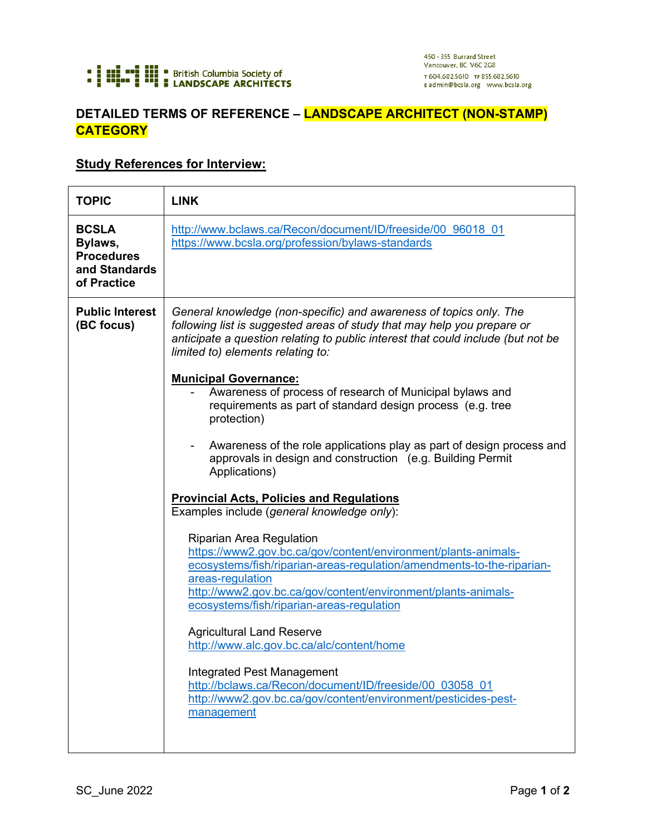

## **DETAILED TERMS OF REFERENCE – LANDSCAPE ARCHITECT (NON-STAMP) CATEGORY**

## **Study References for Interview:**

| <b>TOPIC</b>                                                                 | <b>LINK</b>                                                                                                                                                                                                                                                                                                                                                                                                                                                                                                                                                                                                                                                                                                                                                                                                                                                                                                                                                                                                                                                                                                                                                                                                                                                                                |
|------------------------------------------------------------------------------|--------------------------------------------------------------------------------------------------------------------------------------------------------------------------------------------------------------------------------------------------------------------------------------------------------------------------------------------------------------------------------------------------------------------------------------------------------------------------------------------------------------------------------------------------------------------------------------------------------------------------------------------------------------------------------------------------------------------------------------------------------------------------------------------------------------------------------------------------------------------------------------------------------------------------------------------------------------------------------------------------------------------------------------------------------------------------------------------------------------------------------------------------------------------------------------------------------------------------------------------------------------------------------------------|
| <b>BCSLA</b><br>Bylaws,<br><b>Procedures</b><br>and Standards<br>of Practice | http://www.bclaws.ca/Recon/document/ID/freeside/00 96018 01<br>https://www.bcsla.org/profession/bylaws-standards                                                                                                                                                                                                                                                                                                                                                                                                                                                                                                                                                                                                                                                                                                                                                                                                                                                                                                                                                                                                                                                                                                                                                                           |
| <b>Public Interest</b><br>(BC focus)                                         | General knowledge (non-specific) and awareness of topics only. The<br>following list is suggested areas of study that may help you prepare or<br>anticipate a question relating to public interest that could include (but not be<br>limited to) elements relating to:<br><b>Municipal Governance:</b><br>Awareness of process of research of Municipal bylaws and<br>requirements as part of standard design process (e.g. tree<br>protection)<br>Awareness of the role applications play as part of design process and<br>approvals in design and construction (e.g. Building Permit<br>Applications)<br><b>Provincial Acts, Policies and Regulations</b><br>Examples include (general knowledge only):<br><b>Riparian Area Regulation</b><br>https://www2.gov.bc.ca/gov/content/environment/plants-animals-<br>ecosystems/fish/riparian-areas-regulation/amendments-to-the-riparian-<br>areas-regulation<br>http://www2.gov.bc.ca/gov/content/environment/plants-animals-<br>ecosystems/fish/riparian-areas-regulation<br><b>Agricultural Land Reserve</b><br>http://www.alc.gov.bc.ca/alc/content/home<br><b>Integrated Pest Management</b><br>http://bclaws.ca/Recon/document/ID/freeside/00 03058 01<br>http://www2.gov.bc.ca/gov/content/environment/pesticides-pest-<br>management |